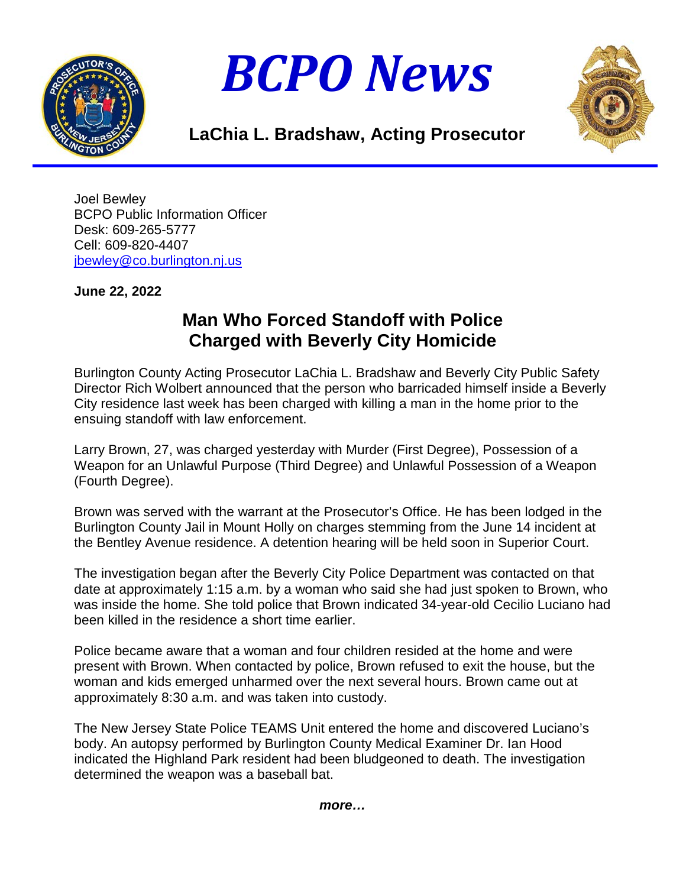





## **LaChia L. Bradshaw, Acting Prosecutor**

Joel Bewley BCPO Public Information Officer Desk: 609-265-5777 Cell: 609-820-4407 [jbewley@co.burlington.nj.us](mailto:jbewley@co.burlington.nj.us)

## **June 22, 2022**

## **Man Who Forced Standoff with Police Charged with Beverly City Homicide**

Burlington County Acting Prosecutor LaChia L. Bradshaw and Beverly City Public Safety Director Rich Wolbert announced that the person who barricaded himself inside a Beverly City residence last week has been charged with killing a man in the home prior to the ensuing standoff with law enforcement.

Larry Brown, 27, was charged yesterday with Murder (First Degree), Possession of a Weapon for an Unlawful Purpose (Third Degree) and Unlawful Possession of a Weapon (Fourth Degree).

Brown was served with the warrant at the Prosecutor's Office. He has been lodged in the Burlington County Jail in Mount Holly on charges stemming from the June 14 incident at the Bentley Avenue residence. A detention hearing will be held soon in Superior Court.

The investigation began after the Beverly City Police Department was contacted on that date at approximately 1:15 a.m. by a woman who said she had just spoken to Brown, who was inside the home. She told police that Brown indicated 34-year-old Cecilio Luciano had been killed in the residence a short time earlier.

Police became aware that a woman and four children resided at the home and were present with Brown. When contacted by police, Brown refused to exit the house, but the woman and kids emerged unharmed over the next several hours. Brown came out at approximately 8:30 a.m. and was taken into custody.

The New Jersey State Police TEAMS Unit entered the home and discovered Luciano's body. An autopsy performed by Burlington County Medical Examiner Dr. Ian Hood indicated the Highland Park resident had been bludgeoned to death. The investigation determined the weapon was a baseball bat.

*more…*